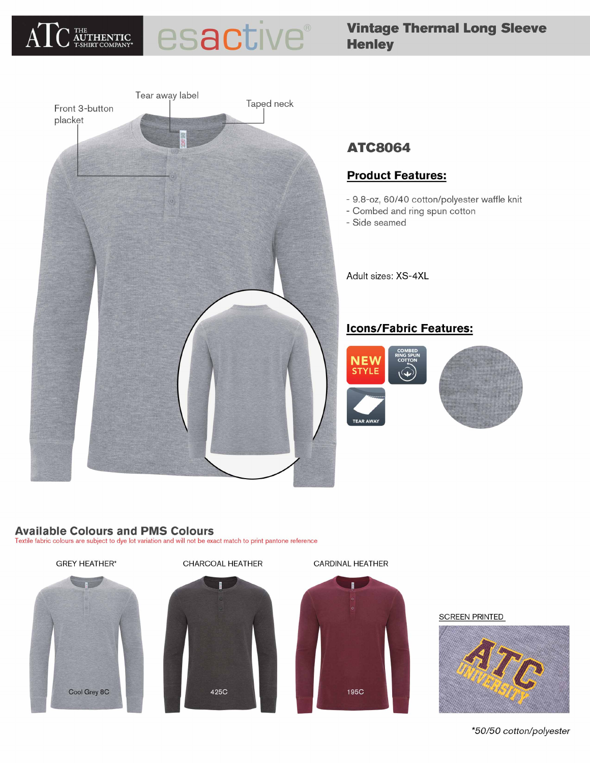

# esactive®

# **Vintage Thermal Long Sleeve Henley**



# **ATC8064**

# **Product Features:**

- 9.8-oz, 60/40 cotton/polyester waffle knit
- Combed and ring spun cotton
- Side seamed

Adult sizes: XS-4XL

# **Icons/Fabric Features:**



# **Available Colours and PMS Colours**

Textile fabric colours are subject to dye lot variation and will not be exact match to print pantone reference



#### **SCREEN PRINTED**



\*50/50 cotton/polyester